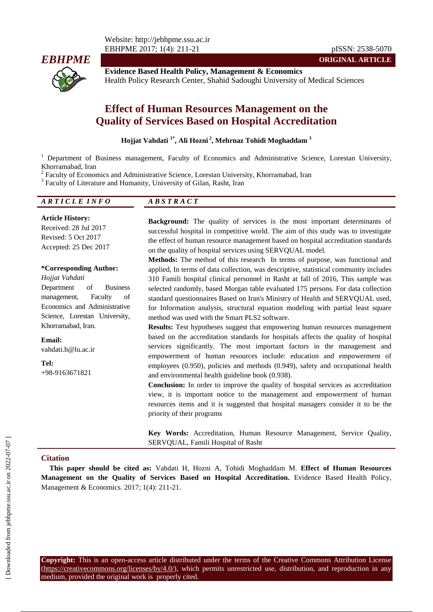

**Evidence Based Health Policy, Management & Economics** Health Policy Research Center, Shahid Sadoughi University of Medical Sciences

# **Effect of Human Resources Management on the Quality of Services Based on Hospital Accreditation**

#### **Hojjat Vahdati 1\* , Ali Hozni <sup>2</sup> , Mehrnaz Tohidi Moghaddam <sup>3</sup>**

<sup>1</sup> Department of Business management, Faculty of Economics and Administrative Science, Lorestan University, Khorramabad, Iran

<sup>2</sup> Faculty of Economics and Administrative Science, Lorestan University, Khorramabad, Iran

<sup>3</sup> Faculty of Literature and Humanity, University of Gilan, Rasht, Iran

# *A R T I C L E I N F O A B S T R A C T*

**Article History:** Received: 28 Jul 2017 Revised: 5 Oct 2017 Accepted: 25 Dec 2017

#### **\*Corresponding Author:**

*Hojjat Vahdati* Department of Business management, Faculty of Economics and Administrative Science, Lorestan University, Khorramabad, Iran.

**Email:** vahdati.h@lu.ac.ir

**Tel:** +98-9163671821 **Background:** The quality of services is the most important determinants of successful hospital in competitive world. The aim of this study was to investigate the effect of human resource management based on hospital accreditation standards on the quality of hospital services using SERVQUAL model.

**ORIGINAL ARTICLE**

**Methods:** The method of this research In terms of purpose, was functional and applied, In terms of data collection, was descriptive, statistical community includes 310 Famili hospital clinical personnel in Rasht at fall of 2016, This sample was selected randomly, based Morgan table evaluated 175 persons. For data collection standard questionnaires Based on Iran's Ministry of Health and SERVQUAL used, for Information analysis, structural equation modeling with partial least square method was used with the Smart PLS2 software.

**Results:** Test hypotheses suggest that empowering human resources management based on the accreditation standards for hospitals affects the quality of hospital services significantly. The most important factors in the management and empowerment of human resources include: education and empowerment of employees (0.950), policies and methods (0.949), safety and occupational health and environmental health guideline book (0.938).

**Conclusion:** In order to improve the quality of hospital services as accreditation view, it is important notice to the management and empowerment of human resources items and it is suggested that hospital managers consider it to be the priority of their programs

**Key Words:** Accreditation, Human Resource Management, Service Quality, SERVQUAL, Famili Hospital of Rasht

#### **Citation**

**This paper should be cited as:** Vahdati H, Hozni A, Tohidi Moghaddam M. **Effect of Human Resources Management on the Quality of Services Based on Hospital Accreditation.** Evidence Based Health Policy, Management & Economics. 2017; 1(4): 211-21.

**Copyright:** This is an open-access article distributed under the terms of the Creative Commons Attribution License (https://creativecommons.org/licenses/by/4.0/), which permits unrestricted use, distribution, and reproduction in any medium, provided the original work is properly cited.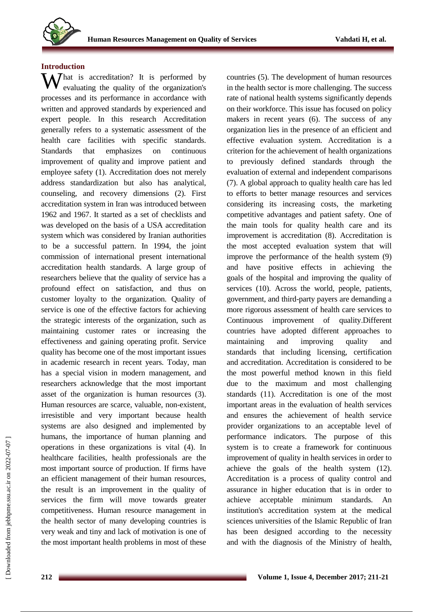

#### **Introduction**

What is accreditation? It is performed by evaluating the quality of the organization's evaluating the quality of the organization's processes and its performance in accordance with written and approved standards by experienced and expert people. In this research Accreditation generally refers to a systematic assessment of the health care facilities with specific standards. Standards that emphasizes on continuous improvement of quality and improve patient and employee safety (1). Accreditation does not merely address standardization but also has analytical, counseling, and recovery dimensions (2). First accreditation system in Iran was introduced between 1962 and 1967. It started as a set of checklists and was developed on the basis of a USA accreditation system which was considered by Iranian authorities to be a successful pattern. In 1994, the joint commission of international present international accreditation health standards. A large group of researchers believe that the quality of service has a profound effect on satisfaction, and thus on customer loyalty to the organization. Quality of service is one of the effective factors for achieving the strategic interests of the organization, such as maintaining customer rates or increasing the effectiveness and gaining operating profit. Service quality has become one of the most important issues in academic research in recent years. Today, man has a special vision in modern management, and researchers acknowledge that the most important asset of the organization is human resources (3). Human resources are scarce, valuable, non-existent, irresistible and very important because health systems are also designed and implemented by humans, the importance of human planning and operations in these organizations is vital (4). In healthcare facilities, health professionals are the most important source of production. If firms have an efficient management of their human resources, the result is an improvement in the quality of services the firm will move towards greater competitiveness. Human resource management in the health sector of many developing countries is very weak and tiny and lack of motivation is one of the most important health problems in most of these

countries (5). The development of human resources in the health sector is more challenging. The success rate of national health systems significantly depends on their workforce. This issue has focused on policy makers in recent years (6). The success of any organization lies in the presence of an efficient and effective evaluation system. Accreditation is a criterion for the achievement of health organizations to previously defined standards through the evaluation of external and independent comparisons (7). A global approach to quality health care has led to efforts to better manage resources and services considering its increasing costs, the marketing competitive advantages and patient safety. One of the main tools for quality health care and its improvement is accreditation (8). Accreditation is the most accepted evaluation system that will improve the performance of the health system (9) and have positive effects in achieving the goals of the hospital and improving the quality of services (10). Across the world, people, patients, government, and third-party payers are demanding a more rigorous assessment of health care services to Continuous improvement of quality.Different countries have adopted different approaches to maintaining and improving quality and standards that including licensing, certification and accreditation. Accreditation is considered to be the most powerful method known in this field due to the maximum and most challenging standards (11). Accreditation is one of the most important areas in the evaluation of health services and ensures the achievement of health service provider organizations to an acceptable level of performance indicators. The purpose of this system is to create a framework for continuous improvement of quality in health services in order to achieve the goals of the health system (12). Accreditation is a process of quality control and assurance in higher education that is in order to achieve acceptable minimum standards. institution's accreditation system at the medical sciences universities of the Islamic Republic of Iran has been designed according to the necessity and with the diagnosis of the Ministry of health,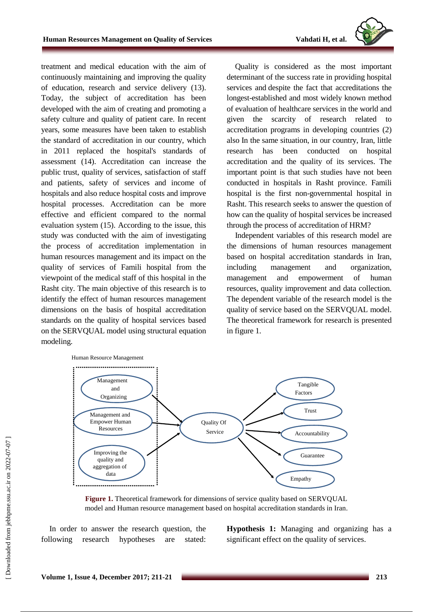

treatment and medical education with the aim of continuously maintaining and improving the quality of education, research and service delivery (13). Today, the subject of accreditation has been developed with the aim of creating and promoting a safety culture and quality of patient care. In recent years, some measures have been taken to establish the standard of accreditation in our country, which in 2011 replaced the hospital's standards of assessment (14). Accreditation can increase the public trust, quality of services, satisfaction of staff and patients, safety of services and income of hospitals and also reduce hospital costs and improve hospital processes. Accreditation can be more effective and efficient compared to the normal evaluation system (15). According to the issue, this study was conducted with the aim of investigating the process of accreditation implementation in human resources management and its impact on the quality of services of Famili hospital from the viewpoint of the medical staff of this hospital in the Rasht city. The main objective of this research is to identify the effect of human resources management dimensions on the basis of hospital accreditation standards on the quality of hospital services based on the SERVQUAL model using structural equation modeling.

Quality is considered as the most important determinant of the success rate in providing hospital services and despite the fact that accreditations the longest-established and most widely known method of evaluation of healthcare services in the world and given the scarcity of research related to accreditation programs in developing countries (2) also In the same situation, in our country, Iran, little research has been conducted on hospital accreditation and the quality of its services. The important point is that such studies have not been conducted in hospitals in Rasht province. Famili hospital is the first non-governmental hospital in Rasht. This research seeks to answer the question of how can the quality of hospital services be increased through the process of accreditation of HRM?

Independent variables of this research model are the dimensions of human resources management based on hospital accreditation standards in Iran, including management and organization, management and empowerment of human resources, quality improvement and data collection. The dependent variable of the research model is the quality of service based on the SERVQUAL model. The theoretical framework for research is presented in figure 1.



**Figure 1.** Theoretical framework for dimensions of service quality based on SERVQUAL model and Human resource management based on hospital accreditation standards in Iran.

In order to answer the research question, the following research hypotheses are stated:

**Hypothesis 1:** Managing and organizing has a significant effect on the quality of services.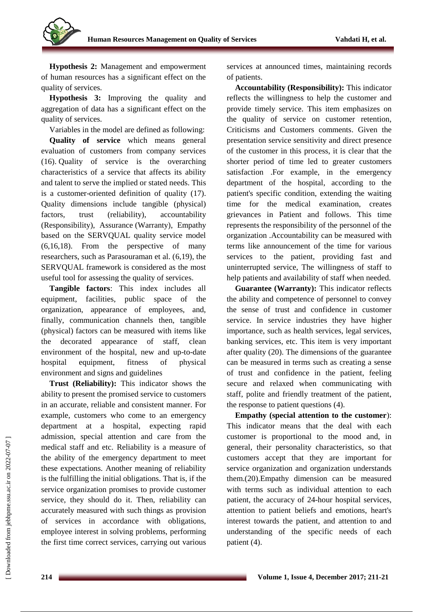

**Hypothesis 2:** Management and empowerment of human resources has a significant effect on the quality of services.

**Hypothesis 3:** Improving the quality and aggregation of data has a significant effect on the quality of services.

Variables in the model are defined as following: **Quality of service** which means general evaluation of customers from company services (16). Quality of service is the overarching characteristics of a service that affects its ability and talent to serve the implied or stated needs. This is a customer-oriented definition of quality (17). Quality dimensions include tangible (physical) factors, trust (reliability), accountability (Responsibility), Assurance (Warranty), Empathy based on the SERVQUAL quality service model (6,16,18). From the perspective of many researchers, such as Parasouraman et al. (6,19), the SERVQUAL framework is considered as the most useful tool for assessing the quality of services.

**Tangible factors**: This index includes all equipment, facilities, public space of the organization, appearance of employees, and, finally, communication channels then, tangible (physical) factors can be measured with items like the decorated appearance of staff, clean environment of the hospital, new and up-to-date hospital equipment, fitness of physical environment and signs and guidelines

**Trust (Reliability):** This indicator shows the ability to present the promised service to customers in an accurate, reliable and consistent manner. For example, customers who come to an emergency department at a hospital, expecting rapid admission, special attention and care from the medical staff and etc. Reliability is a measure of the ability of the emergency department to meet these expectations. Another meaning of reliability is the fulfilling the initial obligations. That is, if the service organization promises to provide customer service, they should do it. Then, reliability can accurately measured with such things as provision of services in accordance with obligations, employee interest in solving problems, performing the first time correct services, carrying out various services at announced times, maintaining records of patients.

**Accountability (Responsibility):** This indicator reflects the willingness to help the customer and provide timely service. This item emphasizes on the quality of service on customer retention, Criticisms and Customers comments. Given the presentation service sensitivity and direct presence of the customer in this process, it is clear that the shorter period of time led to greater customers satisfaction .For example, in the emergency department of the hospital, according to the patient's specific condition, extending the waiting time for the medical examination, creates grievances in Patient and follows. This time represents the responsibility of the personnel of the organization .Accountability can be measured with terms like announcement of the time for various services to the patient, providing fast and uninterrupted service, The willingness of staff to help patients and availability of staff when needed.

**Guarantee (Warranty):** This indicator reflects the ability and competence of personnel to convey the sense of trust and confidence in customer service. In service industries they have higher importance, such as health services, legal services, banking services, etc. This item is very important after quality (20). The dimensions of the guarantee can be measured in terms such as creating a sense of trust and confidence in the patient, feeling secure and relaxed when communicating with staff, polite and friendly treatment of the patient, the response to patient questions (4).

**Empathy (special attention to the customer**): This indicator means that the deal with each customer is proportional to the mood and, in general, their personality characteristics, so that customers accept that they are important for service organization and organization understands them.(20).Empathy dimension can be measured with terms such as individual attention to each patient, the accuracy of 24-hour hospital services, attention to patient beliefs and emotions, heart's interest towards the patient, and attention to and understanding of the specific needs of each patient (4).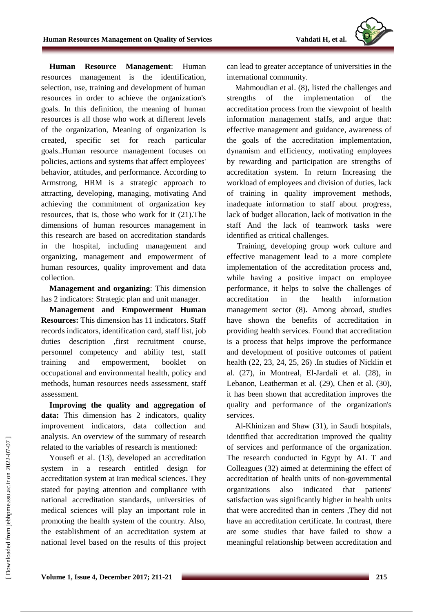**Human Resource Management**: Human resources management is the identification, selection, use, training and development of human resources in order to achieve the organization's goals. In this definition, the meaning of human resources is all those who work at different levels of the organization, Meaning of organization is created, specific set for reach particular goals..Human resource management focuses on policies, actions and systems that affect employees' behavior, attitudes, and performance. According to Armstrong, HRM is a strategic approach to attracting, developing, managing, motivating And achieving the commitment of organization key resources, that is, those who work for it (21).The dimensions of human resources management in this research are based on accreditation standards in the hospital, including management and organizing, management and empowerment of human resources, quality improvement and data collection.

**Management and organizing**: This dimension has 2 indicators: Strategic plan and unit manager.

**Management and Empowerment Human Resources:** This dimension has 11 indicators. Staff records indicators, identification card, staff list, job duties description ,first recruitment course, personnel competency and ability test, staff training and empowerment, booklet on occupational and environmental health, policy and methods, human resources needs assessment, staff assessment.

**Improving the quality and aggregation of data:** This dimension has 2 indicators, quality improvement indicators, data collection and analysis. An overview of the summary of research related to the variables of research is mentioned:

Yousefi et al. (13), developed an accreditation system in a research entitled design for accreditation system at Iran medical sciences. They stated for paying attention and compliance with national accreditation standards, universities of medical sciences will play an important role in promoting the health system of the country. Also, the establishment of an accreditation system at national level based on the results of this project can lead to greater acceptance of universities in the international community.

Mahmoudian et al. (8), listed the challenges and strengths of the implementation of the accreditation process from the viewpoint of health information management staffs, and argue that: effective management and guidance, awareness of the goals of the accreditation implementation, dynamism and efficiency, motivating employees by rewarding and participation are strengths of accreditation system. In return Increasing the workload of employees and division of duties, lack of training in quality improvement methods, inadequate information to staff about progress, lack of budget allocation, lack of motivation in the staff And the lack of teamwork tasks were identified as critical challenges.

Training, developing group work culture and effective management lead to a more complete implementation of the accreditation process and, while having a positive impact on employee performance, it helps to solve the challenges of accreditation in the health information management sector (8). Among abroad, studies have shown the benefits of accreditation in providing health services. Found that accreditation is a process that helps improve the performance and development of positive outcomes of patient health (22, 23, 24, 25, 26) .In studies of Nicklin et al. (27), in Montreal, El-Jardali et al. (28), in Lebanon, Leatherman et al. (29), Chen et al. (30), it has been shown that accreditation improves the quality and performance of the organization's services.

Al-Khinizan and Shaw (31), in Saudi hospitals, identified that accreditation improved the quality of services and performance of the organization. The research conducted in Egypt by AL T and Colleagues (32) aimed at determining the effect of accreditation of health units of non-governmental organizations also indicated that patients' satisfaction was significantly higher in health units that were accredited than in centers ,They did not have an accreditation certificate. In contrast, there are some studies that have failed to show a meaningful relationship between accreditation and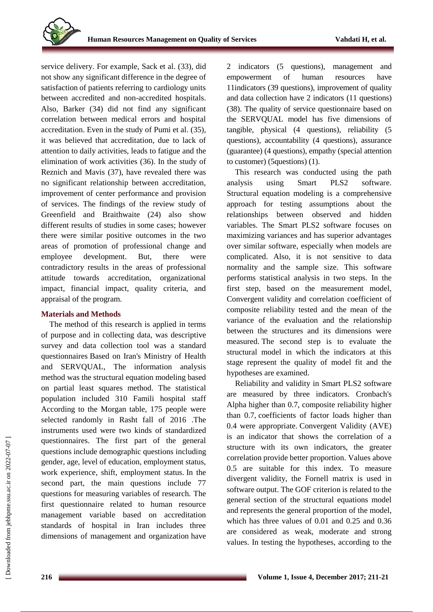service delivery. For example, Sack et al. (33), did not show any significant difference in the degree of satisfaction of patients referring to cardiology units between accredited and non-accredited hospitals. Also, Barker (34) did not find any significant correlation between medical errors and hospital accreditation. Even in the study of Pumi et al. (35), it was believed that accreditation, due to lack of attention to daily activities, leads to fatigue and the elimination of work activities (36). In the study of Reznich and Mavis (37), have revealed there was no significant relationship between accreditation, improvement of center performance and provision of services. The findings of the review study of Greenfield and Braithwaite (24) also show different results of studies in some cases; however there were similar positive outcomes in the two areas of promotion of professional change and employee development. But, there were contradictory results in the areas of professional attitude towards accreditation, organizational impact, financial impact, quality criteria, and appraisal of the program.

## **Materials and Methods**

The method of this research is applied in terms of purpose and in collecting data, was descriptive survey and data collection tool was a standard questionnaires Based on Iran's Ministry of Health and SERVQUAL, The information analysis method was the structural equation modeling based on partial least squares method. The statistical population included 310 Famili hospital staff According to the Morgan table, 175 people were selected randomly in Rasht fall of 2016 .The instruments used were two kinds of standardized questionnaires. The first part of the general questions include demographic questions including gender, age, level of education, employment status, work experience, shift, employment status. In the second part, the main questions include 77 questions for measuring variables of research. The first questionnaire related to human resource management variable based on accreditation standards of hospital in Iran includes three dimensions of management and organization have 2 indicators (5 questions), management and empowerment of human resources have 11indicators (39 questions), improvement of quality and data collection have 2 indicators (11 questions) (38). The quality of service questionnaire based on the SERVQUAL model has five dimensions of tangible, physical (4 questions), reliability (5 questions), accountability (4 questions), assurance (guarantee) (4 questions), empathy (special attention to customer) (5questions) (1).

This research was conducted using the path analysis using Smart PLS2 software. Structural equation modeling is a comprehensive approach for testing assumptions about the relationships between observed and hidden variables. The Smart PLS2 software focuses on maximizing variances and has superior advantages over similar software, especially when models are complicated. Also, it is not sensitive to data normality and the sample size. This software performs statistical analysis in two steps. In the first step, based on the measurement model, Convergent validity and correlation coefficient of composite reliability tested and the mean of the variance of the evaluation and the relationship between the structures and its dimensions were measured. The second step is to evaluate the structural model in which the indicators at this stage represent the quality of model fit and the hypotheses are examined.

Reliability and validity in Smart PLS2 software are measured by three indicators. Cronbach's Alpha higher than 0.7, composite reliability higher than 0.7, coefficients of factor loads higher than 0.4 were appropriate. Convergent Validity (AVE) is an indicator that shows the correlation of a structure with its own indicators, the greater correlation provide better proportion. Values above 0.5 are suitable for this index. To measure divergent validity, the Fornell matrix is used in software output. The GOF criterion is related to the general section of the structural equations model and represents the general proportion of the model, which has three values of 0.01 and 0.25 and 0.36 are considered as weak, moderate and strong values. In testing the hypotheses, according to the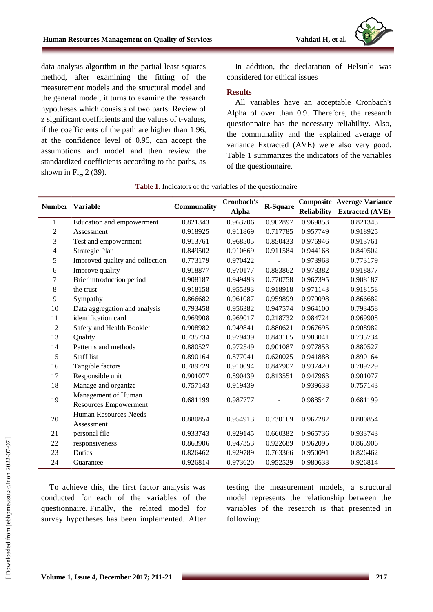data analysis algorithm in the partial least squares method, after examining the fitting of the measurement models and the structural model and the general model, it turns to examine the research hypotheses which consists of two parts: Review of z significant coefficients and the values of t-values, if the coefficients of the path are higher than 1.96, at the confidence level of 0.95, can accept the assumptions and model and then review the standardized coefficients according to the paths, as shown in Fig 2 (39).

In addition, the declaration of Helsinki was considered for ethical issues

#### **Results**

All variables have an acceptable Cronbach's Alpha of over than 0.9. Therefore, the research questionnaire has the necessary reliability. Also, the communality and the explained average of variance Extracted (AVE) were also very good. Table 1 summarizes the indicators of the variables of the questionnaire.

|                | <b>Number</b> Variable                       | Communality | Cronbach's   | <b>R-Square</b> |                    | <b>Composite Average Variance</b> |
|----------------|----------------------------------------------|-------------|--------------|-----------------|--------------------|-----------------------------------|
|                |                                              |             | <b>Alpha</b> |                 | <b>Reliability</b> | <b>Extracted (AVE)</b>            |
| 1              | Education and empowerment                    | 0.821343    | 0.963706     | 0.902897        | 0.969853           | 0.821343                          |
| $\overline{c}$ | Assessment                                   | 0.918925    | 0.911869     | 0.717785        | 0.957749           | 0.918925                          |
| 3              | Test and empowerment                         | 0.913761    | 0.968505     | 0.850433        | 0.976946           | 0.913761                          |
| 4              | Strategic Plan                               | 0.849502    | 0.910669     | 0.911584        | 0.944168           | 0.849502                          |
| 5              | Improved quality and collection              | 0.773179    | 0.970422     |                 | 0.973968           | 0.773179                          |
| 6              | Improve quality                              | 0.918877    | 0.970177     | 0.883862        | 0.978382           | 0.918877                          |
| 7              | Brief introduction period                    | 0.908187    | 0.949493     | 0.770758        | 0.967395           | 0.908187                          |
| 8              | the trust                                    | 0.918158    | 0.955393     | 0.918918        | 0.971143           | 0.918158                          |
| 9              | Sympathy                                     | 0.866682    | 0.961087     | 0.959899        | 0.970098           | 0.866682                          |
| 10             | Data aggregation and analysis                | 0.793458    | 0.956382     | 0.947574        | 0.964100           | 0.793458                          |
| 11             | identification card                          | 0.969908    | 0.969017     | 0.218732        | 0.984724           | 0.969908                          |
| 12             | Safety and Health Booklet                    | 0.908982    | 0.949841     | 0.880621        | 0.967695           | 0.908982                          |
| 13             | Quality                                      | 0.735734    | 0.979439     | 0.843165        | 0.983041           | 0.735734                          |
| 14             | Patterns and methods                         | 0.880527    | 0.972549     | 0.901087        | 0.977853           | 0.880527                          |
| 15             | <b>Staff</b> list                            | 0.890164    | 0.877041     | 0.620025        | 0.941888           | 0.890164                          |
| 16             | Tangible factors                             | 0.789729    | 0.910094     | 0.847907        | 0.937420           | 0.789729                          |
| 17             | Responsible unit                             | 0.901077    | 0.890439     | 0.813551        | 0.947963           | 0.901077                          |
| 18             | Manage and organize                          | 0.757143    | 0.919439     |                 | 0.939638           | 0.757143                          |
| 19             | Management of Human<br>Resources Empowerment | 0.681199    | 0.987777     |                 | 0.988547           | 0.681199                          |
| $20\,$         | <b>Human Resources Needs</b><br>Assessment   | 0.880854    | 0.954913     | 0.730169        | 0.967282           | 0.880854                          |
| 21             | personal file                                | 0.933743    | 0.929145     | 0.660382        | 0.965736           | 0.933743                          |
| 22             | responsiveness                               | 0.863906    | 0.947353     | 0.922689        | 0.962095           | 0.863906                          |
| 23             | Duties                                       | 0.826462    | 0.929789     | 0.763366        | 0.950091           | 0.826462                          |
| 24             | Guarantee                                    | 0.926814    | 0.973620     | 0.952529        | 0.980638           | 0.926814                          |

#### **Table 1.** Indicators of the variables of the questionnaire

To achieve this, the first factor analysis was conducted for each of the variables of the questionnaire. Finally, the related model for survey hypotheses has been implemented. After testing the measurement models, a structural model represents the relationship between the variables of the research is that presented in following: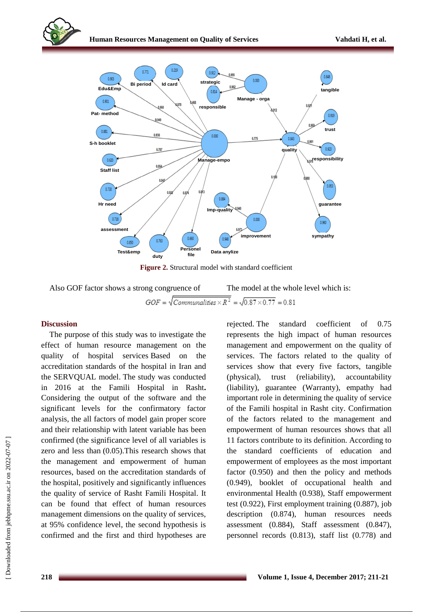

**Figure 2.** Structural model with standard coefficient

Also GOF factor shows a strong congruence of The model at the whole level which is:

### **Discussion**

The purpose of this study was to investigate the effect of human resource management on the quality of hospital services Based on the accreditation standards of the hospital in Iran and the SERVQUAL model. The study was conducted in 2016 at the Famili Hospital in Rasht**.** Considering the output of the software and the significant levels for the confirmatory factor analysis, the all factors of model gain proper score and their relationship with latent variable has been confirmed (the significance level of all variables is zero and less than (0.05).This research shows that the management and empowerment of human resources, based on the accreditation standards of the hospital, positively and significantly influences the quality of service of Rasht Famili Hospital. It can be found that effect of human resources management dimensions on the quality of services, at 95% confidence level, the second hypothesis is confirmed and the first and third hypotheses are rejected. The standard coefficient of 0.75 represents the high impact of human resources management and empowerment on the quality of services. The factors related to the quality of services show that every five factors, tangible (physical), trust (reliability), accountability (liability), guarantee (Warranty), empathy had important role in determining the quality of service of the Famili hospital in Rasht city. Confirmation of the factors related to the management and empowerment of human resources shows that all 11 factors contribute to its definition. According to the standard coefficients of education and empowerment of employees as the most important factor (0.950) and then the policy and methods (0.949), booklet of occupational health and environmental Health (0.938), Staff empowerment test (0.922), First employment training (0.887), job description (0.874), human resources needs assessment (0.884), Staff assessment (0.847), personnel records (0.813), staff list (0.778) and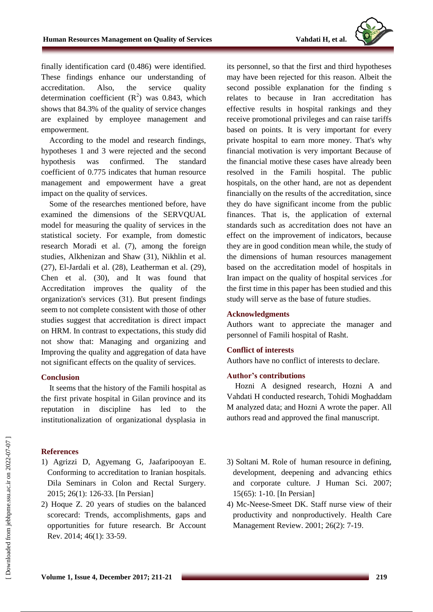

finally identification card (0.486) were identified. These findings enhance our understanding of accreditation. Also, the service quality determination coefficient  $(R^2)$  was 0.843, which shows that 84.3% of the quality of service changes are explained by employee management and empowerment.

According to the model and research findings, hypotheses 1 and 3 were rejected and the second hypothesis was confirmed. The standard coefficient of 0.775 indicates that human resource management and empowerment have a great impact on the quality of services.

Some of the researches mentioned before, have examined the dimensions of the SERVQUAL model for measuring the quality of services in the statistical society. For example, from domestic research Moradi et al. (7), among the foreign studies, Alkhenizan and Shaw (31), Nikhlin et al. (27), El-Jardali et al. (28), Leatherman et al. (29), Chen et al. (30), and It was found that Accreditation improves the quality of the organization's services (31). But present findings seem to not complete consistent with those of other studies suggest that accreditation is direct impact on HRM. In contrast to expectations, this study did not show that: Managing and organizing and Improving the quality and aggregation of data have not significant effects on the quality of services.

#### **Conclusion**

It seems that the history of the Famili hospital as the first private hospital in Gilan province and its reputation in discipline has led to the institutionalization of organizational dysplasia in

### **References**

- 1) Agrizzi D, Agyemang G, Jaafaripooyan E. Conforming to accreditation to Iranian hospitals. Dila Seminars in Colon and Rectal Surgery. 2015; 26(1): 126-33. [In Persian]
- 2) Hoque Z. 20 years of studies on the balanced scorecard: Trends, accomplishments, gaps and opportunities for future research. Br Account Rev. 2014; 46(1): 33-59.

its personnel, so that the first and third hypotheses may have been rejected for this reason. Albeit the second possible explanation for the finding s relates to because in Iran accreditation has effective results in hospital rankings and they receive promotional privileges and can raise tariffs based on points. It is very important for every private hospital to earn more money. That's why financial motivation is very important Because of the financial motive these cases have already been resolved in the Famili hospital. The public hospitals, on the other hand, are not as dependent financially on the results of the accreditation, since they do have significant income from the public finances. That is, the application of external standards such as accreditation does not have an effect on the improvement of indicators, because they are in good condition mean while, the study of the dimensions of human resources management based on the accreditation model of hospitals in Iran impact on the quality of hospital services .for the first time in this paper has been studied and this study will serve as the base of future studies.

### **Acknowledgments**

Authors want to appreciate the manager and personnel of Famili hospital of Rasht.

## **Conflict of interests**

Authors have no conflict of interests to declare.

### **Author's contributions**

Hozni A designed research, Hozni A and Vahdati H conducted research, Tohidi Moghaddam M analyzed data; and Hozni A wrote the paper. All authors read and approved the final manuscript.

- 3) Soltani M. Role of human resource in defining, development, deepening and advancing ethics and corporate culture. J Human Sci. 2007; 15(65): 1-10. [In Persian]
- 4) Mc-Neese-Smeet DK. Staff nurse view of their productivity and nonproductively. Health Care Management Review. 2001; 26(2): 7-19.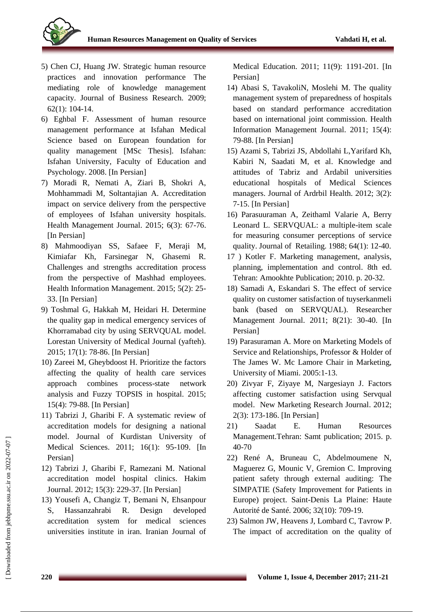

- 5) Chen CJ, Huang JW. Strategic human resource practices and innovation performance The mediating role of knowledge management capacity. Journal of Business Research. 2009; 62(1): 104-14.
- 6) Eghbal F. Assessment of human resource management performance at Isfahan Medical Science based on European foundation for quality management [MSc Thesis]. Isfahan: Isfahan University, Faculty of Education and Psychology. 2008. [In Persian]
- 7) Moradi R, Nemati A, Ziari B, Shokri A, Mohhammadi M, Soltantajian A. Accreditation impact on service delivery from the perspective of employees of Isfahan university hospitals. Health Management Journal. 2015; 6(3): 67-76. [In Persian]
- 8) Mahmoodiyan SS, Safaee F, Meraji M, Kimiafar Kh, Farsinegar N, Ghasemi R. Challenges and strengths accreditation process from the perspective of Mashhad employees. Health Information Management. 2015; 5(2): 25- 33. [In Persian]
- 9) Toshmal G, Hakkah M, Heidari H. Determine the quality gap in medical emergency services of Khorramabad city by using SERVQUAL model. Lorestan University of Medical Journal (yafteh). 2015; 17(1): 78-86. [In Persian]
- 10) Zareei M, Gheybdoost H. Prioritize the factors affecting the quality of health care services approach combines process-state network analysis and Fuzzy TOPSIS in hospital. 2015; 15(4): 79-88. [In Persian]
- 11) Tabrizi J, Gharibi F. A systematic review of accreditation models for designing a national model. Journal of Kurdistan University of Medical Sciences. 2011; 16(1): 95-109. [In Persian]
- 12) Tabrizi J, Gharibi F, Ramezani M. National accreditation model hospital clinics. Hakim Journal. 2012; 15(3): 229-37. [In Persian]
- 13) Yousefi A, Changiz T, Bemani N, Ehsanpour S, Hassanzahrabi R. Design developed accreditation system for medical sciences universities institute in iran. Iranian Journal of

Medical Education. 2011; 11(9): 1191-201. [In Persian]

- 14) Abasi S, TavakoliN, Moslehi M. The quality management system of preparedness of hospitals based on standard performance accreditation based on international joint commission. Health Information Management Journal. 2011; 15(4): 79-88. [In Persian]
- 15) Azami S, Tabrizi JS, Abdollahi L,Yarifard Kh, Kabiri N, Saadati M, et al. Knowledge and attitudes of Tabriz and Ardabil universities educational hospitals of Medical Sciences managers. Journal of Ardrbil Health. 2012; 3(2): 7-15. [In Persian]
- 16) Parasuuraman A, Zeithaml Valarie A, Berry Leonard L. SERVQUAL: a multiple-item scale for measuring consumer perceptions of service quality. Journal of Retailing. 1988; 64(1): 12-40.
- 17 ) Kotler F. Marketing management, analysis, planning, implementation and control. 8th ed. Tehran: Amookhte Publication; 2010. p. 20-32.
- 18) Samadi A, Eskandari S. The effect of service quality on customer satisfaction of tuyserkanmeli bank (based on SERVQUAL). Researcher Management Journal. 2011; 8(21): 30-40. [In Persian]
- 19) Parasuraman A. More on Marketing Models of Service and Relationships, Professor & Holder of The James W. Mc Lamore Chair in Marketing, University of Miami. 2005:1-13.
- 20) Zivyar F, Ziyaye M, Nargesiayn J. Factors affecting customer satisfaction using Servqual model. New Marketing Research Journal. 2012; 2(3): 173-186. [In Persian]
- 21) Saadat E. Human Resources Management.Tehran: Samt publication; 2015. p. 40-70
- 22) René A, Bruneau C, Abdelmoumene N, Maguerez G, Mounic V, Gremion C. Improving patient safety through external auditing: The SIMPATIE (Safety Improvement for Patients in Europe) project. Saint-Denis La Plaine: Haute Autorité de Santé. 2006; 32(10): 709-19.
- 23) Salmon JW, Heavens J, Lombard C, Tavrow P. The impact of accreditation on the quality of